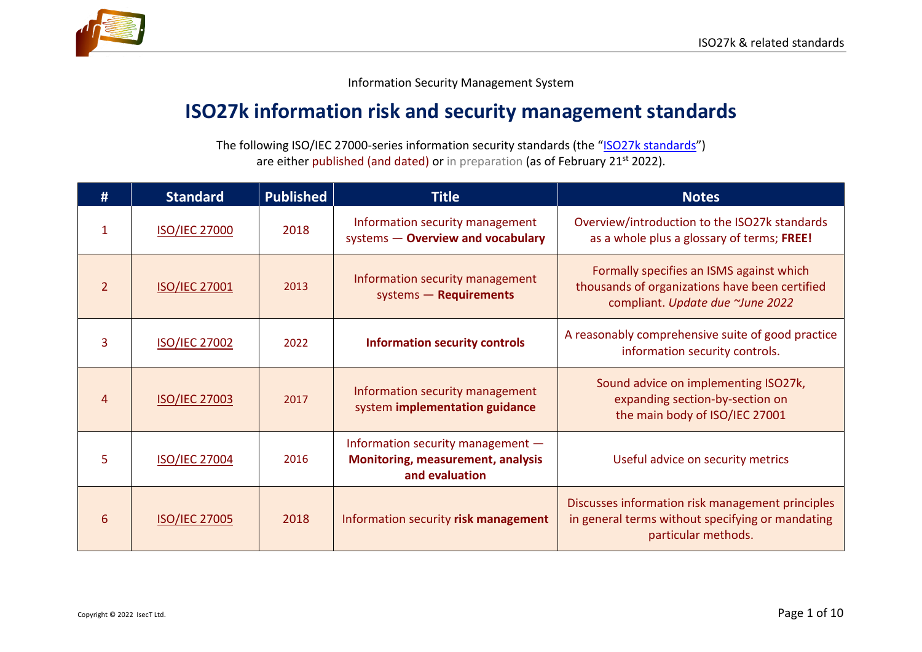



Information Security Management System

## **ISO27k information risk and security management standards**

The following ISO/IEC 27000-series information security standards (the "[ISO27k standards](http://www.iso27001security.com/html/iso27000.html)") are either published (and dated) or in preparation (as of February 21st 2022).

| #              | <b>Standard</b>      | <b>Published</b> | <b>Title</b>                                                                                    | <b>Notes</b>                                                                                                                   |
|----------------|----------------------|------------------|-------------------------------------------------------------------------------------------------|--------------------------------------------------------------------------------------------------------------------------------|
| 1              | <b>ISO/IEC 27000</b> | 2018             | Information security management<br>systems - Overview and vocabulary                            | Overview/introduction to the ISO27k standards<br>as a whole plus a glossary of terms; FREE!                                    |
| $\overline{2}$ | <b>ISO/IEC 27001</b> | 2013             | Information security management<br>systems - Requirements                                       | Formally specifies an ISMS against which<br>thousands of organizations have been certified<br>compliant. Update due ~June 2022 |
| 3              | <b>ISO/IEC 27002</b> | 2022             | <b>Information security controls</b>                                                            | A reasonably comprehensive suite of good practice<br>information security controls.                                            |
| 4              | <b>ISO/IEC 27003</b> | 2017             | Information security management<br>system implementation guidance                               | Sound advice on implementing ISO27k,<br>expanding section-by-section on<br>the main body of ISO/IEC 27001                      |
| 5              | <b>ISO/IEC 27004</b> | 2016             | Information security management -<br><b>Monitoring, measurement, analysis</b><br>and evaluation | Useful advice on security metrics                                                                                              |
| 6              | <b>ISO/IEC 27005</b> | 2018             | Information security risk management                                                            | Discusses information risk management principles<br>in general terms without specifying or mandating<br>particular methods.    |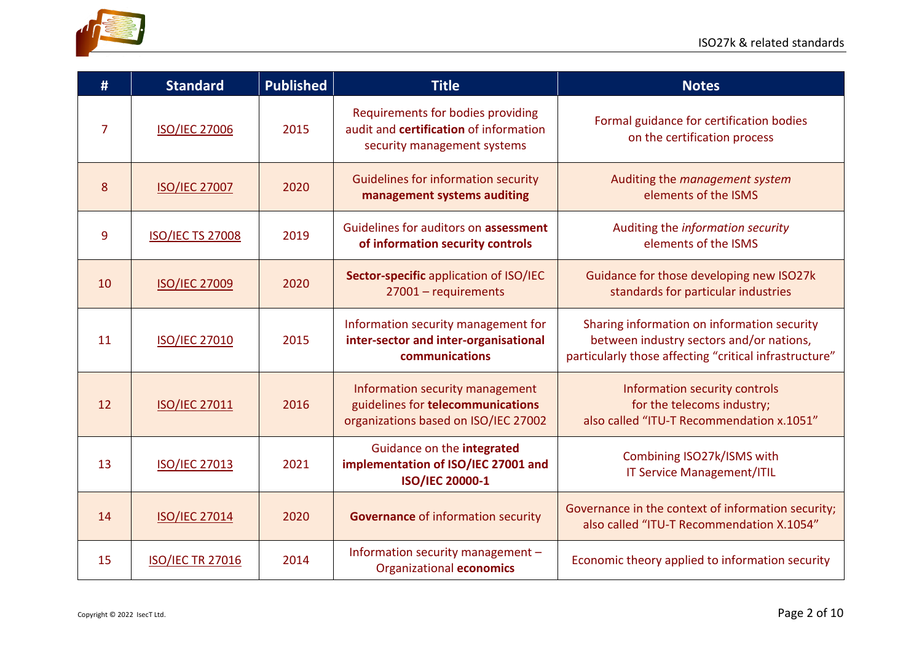

| #              | <b>Standard</b>         | <b>Published</b> | <b>Title</b>                                                                                                 | <b>Notes</b>                                                                                                                                      |
|----------------|-------------------------|------------------|--------------------------------------------------------------------------------------------------------------|---------------------------------------------------------------------------------------------------------------------------------------------------|
| $\overline{7}$ | <b>ISO/IEC 27006</b>    | 2015             | Requirements for bodies providing<br>audit and certification of information<br>security management systems   | Formal guidance for certification bodies<br>on the certification process                                                                          |
| 8              | <b>ISO/IEC 27007</b>    | 2020             | <b>Guidelines for information security</b><br>management systems auditing                                    | Auditing the management system<br>elements of the ISMS                                                                                            |
| 9              | <b>ISO/IEC TS 27008</b> | 2019             | Guidelines for auditors on assessment<br>of information security controls                                    | Auditing the information security<br>elements of the ISMS                                                                                         |
| 10             | <b>ISO/IEC 27009</b>    | 2020             | Sector-specific application of ISO/IEC<br>27001 - requirements                                               | Guidance for those developing new ISO27k<br>standards for particular industries                                                                   |
| 11             | <b>ISO/IEC 27010</b>    | 2015             | Information security management for<br>inter-sector and inter-organisational<br>communications               | Sharing information on information security<br>between industry sectors and/or nations,<br>particularly those affecting "critical infrastructure" |
| 12             | <b>ISO/IEC 27011</b>    | 2016             | Information security management<br>guidelines for telecommunications<br>organizations based on ISO/IEC 27002 | Information security controls<br>for the telecoms industry;<br>also called "ITU-T Recommendation x.1051"                                          |
| 13             | <b>ISO/IEC 27013</b>    | 2021             | Guidance on the integrated<br>implementation of ISO/IEC 27001 and<br><b>ISO/IEC 20000-1</b>                  | Combining ISO27k/ISMS with<br><b>IT Service Management/ITIL</b>                                                                                   |
| 14             | <b>ISO/IEC 27014</b>    | 2020             | <b>Governance of information security</b>                                                                    | Governance in the context of information security;<br>also called "ITU-T Recommendation X.1054"                                                   |
| 15             | <b>ISO/IEC TR 27016</b> | 2014             | Information security management -<br>Organizational economics                                                | Economic theory applied to information security                                                                                                   |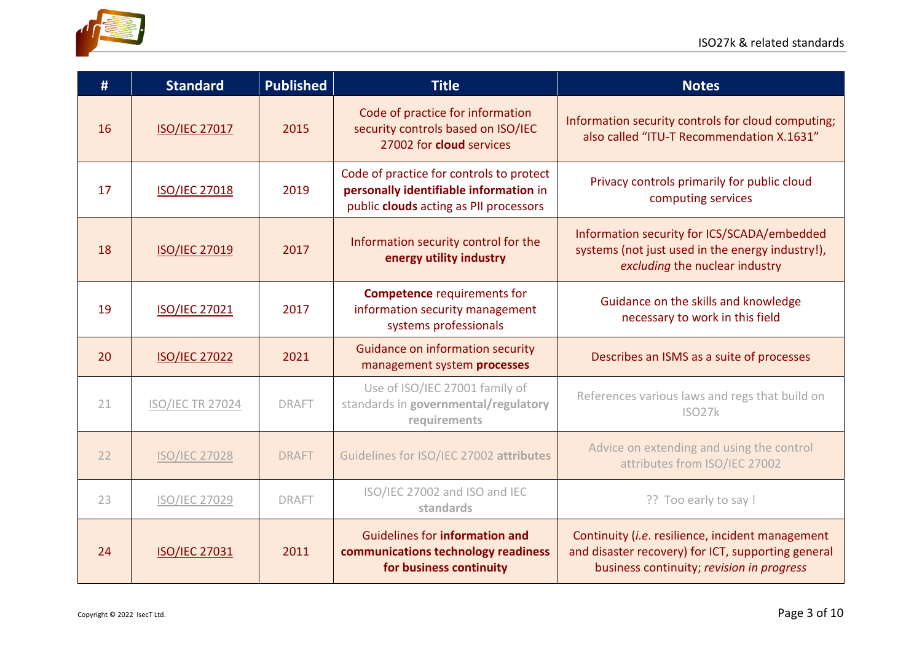

| #  | <b>Standard</b>         | <b>Published</b> | <b>Title</b>                                                                                                                 | <b>Notes</b>                                                                                                                                        |
|----|-------------------------|------------------|------------------------------------------------------------------------------------------------------------------------------|-----------------------------------------------------------------------------------------------------------------------------------------------------|
| 16 | <b>ISO/IEC 27017</b>    | 2015             | Code of practice for information<br>security controls based on ISO/IEC<br>27002 for cloud services                           | Information security controls for cloud computing;<br>also called "ITU-T Recommendation X.1631"                                                     |
| 17 | <b>ISO/IEC 27018</b>    | 2019             | Code of practice for controls to protect<br>personally identifiable information in<br>public clouds acting as PII processors | Privacy controls primarily for public cloud<br>computing services                                                                                   |
| 18 | <b>ISO/IEC 27019</b>    | 2017             | Information security control for the<br>energy utility industry                                                              | Information security for ICS/SCADA/embedded<br>systems (not just used in the energy industry!),<br>excluding the nuclear industry                   |
| 19 | <b>ISO/IEC 27021</b>    | 2017             | <b>Competence requirements for</b><br>information security management<br>systems professionals                               | Guidance on the skills and knowledge<br>necessary to work in this field                                                                             |
| 20 | <b>ISO/IEC 27022</b>    | 2021             | <b>Guidance on information security</b><br>management system processes                                                       | Describes an ISMS as a suite of processes                                                                                                           |
| 21 | <b>ISO/IEC TR 27024</b> | <b>DRAFT</b>     | Use of ISO/IEC 27001 family of<br>standards in governmental/regulatory<br>requirements                                       | References various laws and regs that build on<br>ISO27k                                                                                            |
| 22 | <b>ISO/IEC 27028</b>    | <b>DRAFT</b>     | Guidelines for ISO/IEC 27002 attributes                                                                                      | Advice on extending and using the control<br>attributes from ISO/IEC 27002                                                                          |
| 23 | ISO/IEC 27029           | <b>DRAFT</b>     | ISO/IEC 27002 and ISO and IEC<br>standards                                                                                   | ?? Too early to say !                                                                                                                               |
| 24 | <b>ISO/IEC 27031</b>    | 2011             | <b>Guidelines for information and</b><br>communications technology readiness<br>for business continuity                      | Continuity (i.e. resilience, incident management<br>and disaster recovery) for ICT, supporting general<br>business continuity; revision in progress |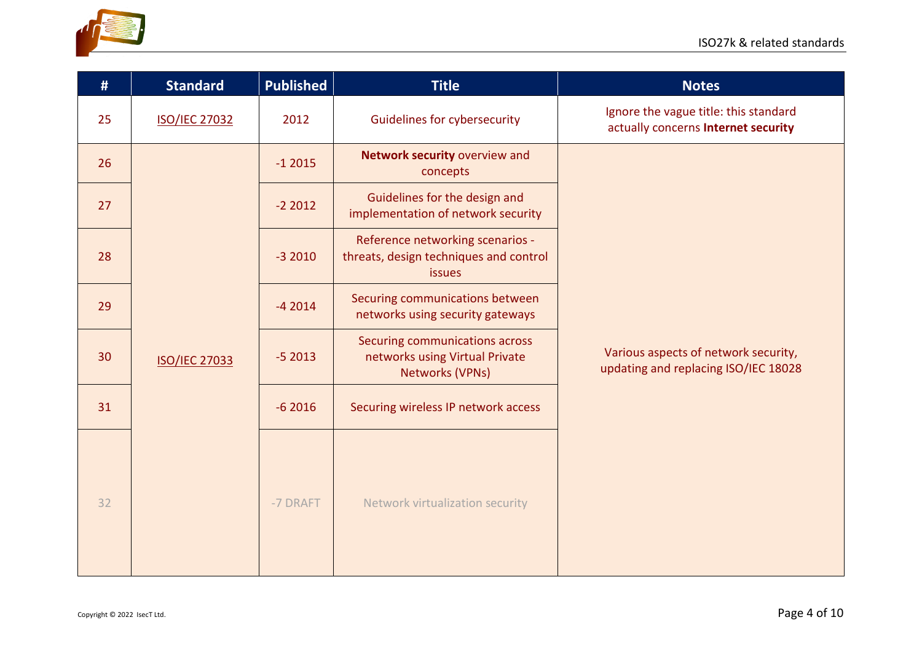

| #  | <b>Standard</b>      | <b>Published</b> | <b>Title</b>                                                                               | <b>Notes</b>                                                                 |
|----|----------------------|------------------|--------------------------------------------------------------------------------------------|------------------------------------------------------------------------------|
| 25 | <b>ISO/IEC 27032</b> | 2012             | <b>Guidelines for cybersecurity</b>                                                        | Ignore the vague title: this standard<br>actually concerns Internet security |
| 26 |                      | $-12015$         | Network security overview and<br>concepts                                                  |                                                                              |
| 27 |                      | $-22012$         | Guidelines for the design and<br>implementation of network security                        |                                                                              |
| 28 |                      | $-32010$         | Reference networking scenarios -<br>threats, design techniques and control<br>issues       |                                                                              |
| 29 |                      | $-42014$         | Securing communications between<br>networks using security gateways                        | Various aspects of network security,<br>updating and replacing ISO/IEC 18028 |
| 30 | <b>ISO/IEC 27033</b> | $-52013$         | Securing communications across<br>networks using Virtual Private<br><b>Networks (VPNs)</b> |                                                                              |
| 31 |                      | $-62016$         | Securing wireless IP network access                                                        |                                                                              |
| 32 |                      | -7 DRAFT         | Network virtualization security                                                            |                                                                              |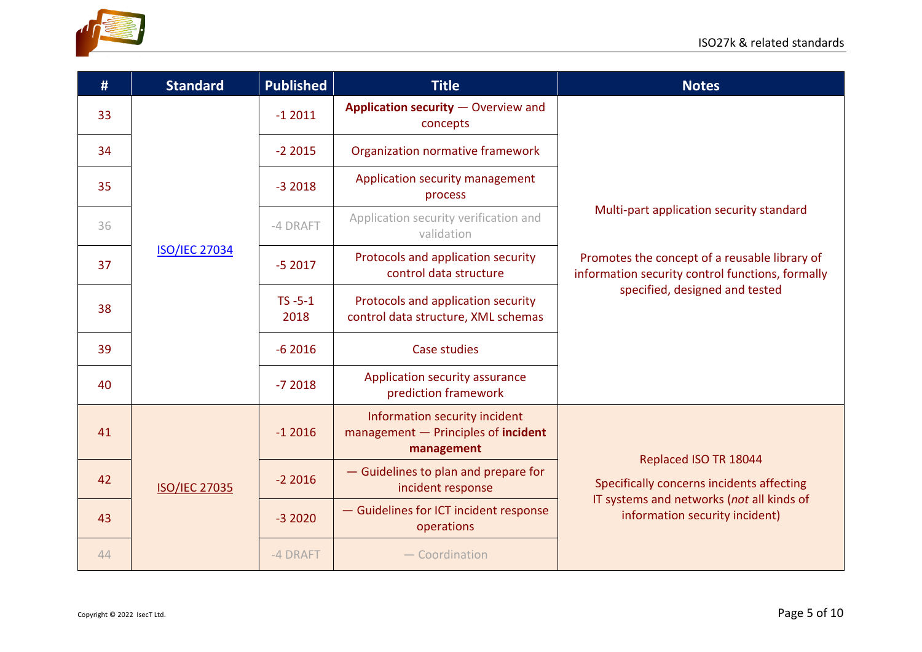



| #  | <b>Standard</b>      | <b>Published</b>     | <b>Title</b>                                                                       | <b>Notes</b>                                                                                                                                                                    |
|----|----------------------|----------------------|------------------------------------------------------------------------------------|---------------------------------------------------------------------------------------------------------------------------------------------------------------------------------|
| 33 |                      | $-12011$             | Application security - Overview and<br>concepts                                    |                                                                                                                                                                                 |
| 34 |                      | $-22015$             | Organization normative framework                                                   | Multi-part application security standard<br>Promotes the concept of a reusable library of<br>information security control functions, formally<br>specified, designed and tested |
| 35 |                      | $-32018$             | Application security management<br>process                                         |                                                                                                                                                                                 |
| 36 |                      | -4 DRAFT             | Application security verification and<br>validation                                |                                                                                                                                                                                 |
| 37 | <b>ISO/IEC 27034</b> | $-52017$             | Protocols and application security<br>control data structure                       |                                                                                                                                                                                 |
| 38 |                      | $TS - 5 - 1$<br>2018 | Protocols and application security<br>control data structure, XML schemas          |                                                                                                                                                                                 |
| 39 |                      | $-62016$             | Case studies                                                                       |                                                                                                                                                                                 |
| 40 |                      | $-72018$             | Application security assurance<br>prediction framework                             |                                                                                                                                                                                 |
| 41 | <b>ISO/IEC 27035</b> | $-12016$             | Information security incident<br>management - Principles of incident<br>management |                                                                                                                                                                                 |
| 42 |                      | $-22016$             | - Guidelines to plan and prepare for<br>incident response                          | Replaced ISO TR 18044<br>Specifically concerns incidents affecting                                                                                                              |
| 43 |                      | $-32020$             | - Guidelines for ICT incident response<br>operations                               | IT systems and networks (not all kinds of<br>information security incident)                                                                                                     |
| 44 |                      | -4 DRAFT             | $-$ Coordination                                                                   |                                                                                                                                                                                 |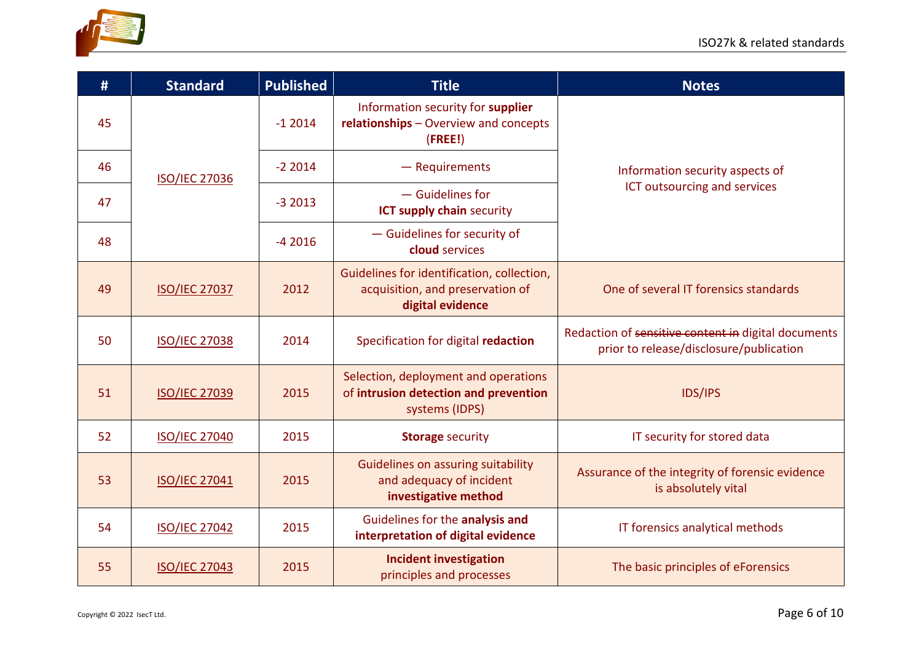



| #  | <b>Standard</b>      | <b>Published</b> | <b>Title</b>                                                                                       | <b>Notes</b>                                                                                   |
|----|----------------------|------------------|----------------------------------------------------------------------------------------------------|------------------------------------------------------------------------------------------------|
| 45 |                      | $-12014$         | Information security for supplier<br>relationships - Overview and concepts<br>(FREE!)              |                                                                                                |
| 46 | <b>ISO/IEC 27036</b> | $-22014$         | $-$ Requirements                                                                                   | Information security aspects of                                                                |
| 47 |                      | $-32013$         | $-$ Guidelines for<br><b>ICT supply chain security</b>                                             | ICT outsourcing and services                                                                   |
| 48 |                      | $-42016$         | - Guidelines for security of<br>cloud services                                                     |                                                                                                |
| 49 | <b>ISO/IEC 27037</b> | 2012             | Guidelines for identification, collection,<br>acquisition, and preservation of<br>digital evidence | One of several IT forensics standards                                                          |
| 50 | <b>ISO/IEC 27038</b> | 2014             | Specification for digital redaction                                                                | Redaction of sensitive content in digital documents<br>prior to release/disclosure/publication |
| 51 | <b>ISO/IEC 27039</b> | 2015             | Selection, deployment and operations<br>of intrusion detection and prevention<br>systems (IDPS)    | <b>IDS/IPS</b>                                                                                 |
| 52 | <b>ISO/IEC 27040</b> | 2015             | <b>Storage security</b>                                                                            | IT security for stored data                                                                    |
| 53 | <b>ISO/IEC 27041</b> | 2015             | Guidelines on assuring suitability<br>and adequacy of incident<br>investigative method             | Assurance of the integrity of forensic evidence<br>is absolutely vital                         |
| 54 | <b>ISO/IEC 27042</b> | 2015             | Guidelines for the analysis and<br>interpretation of digital evidence                              | IT forensics analytical methods                                                                |
| 55 | <b>ISO/IEC 27043</b> | 2015             | <b>Incident investigation</b><br>principles and processes                                          | The basic principles of eForensics                                                             |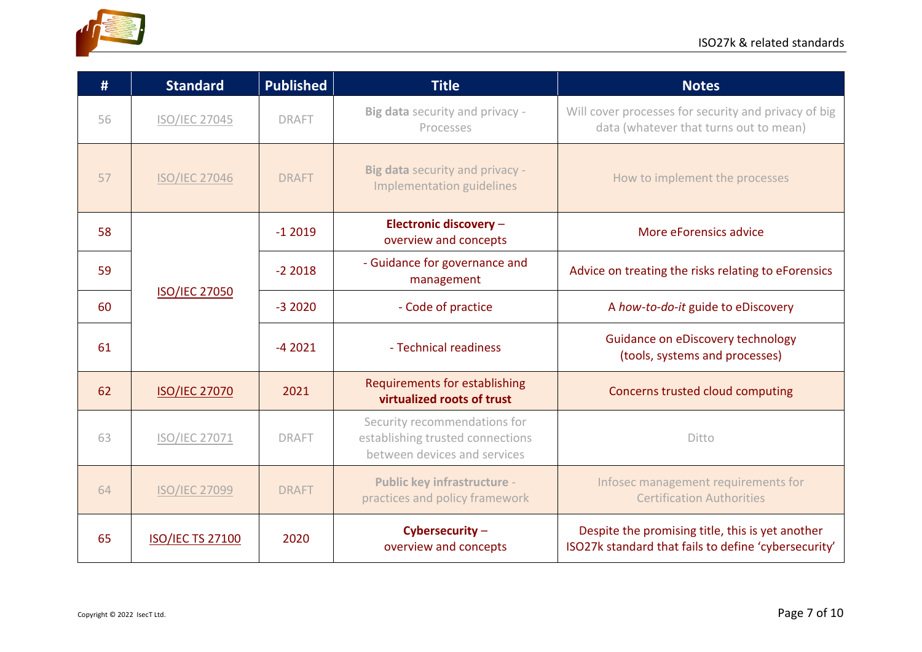

| #  | <b>Standard</b>         | <b>Published</b> | <b>Title</b>                                                                                     | <b>Notes</b>                                                                                             |
|----|-------------------------|------------------|--------------------------------------------------------------------------------------------------|----------------------------------------------------------------------------------------------------------|
| 56 | <b>ISO/IEC 27045</b>    | <b>DRAFT</b>     | Big data security and privacy -<br>Processes                                                     | Will cover processes for security and privacy of big<br>data (whatever that turns out to mean)           |
| 57 | <b>ISO/IEC 27046</b>    | <b>DRAFT</b>     | Big data security and privacy -<br><b>Implementation guidelines</b>                              | How to implement the processes                                                                           |
| 58 |                         | $-12019$         | Electronic discovery -<br>overview and concepts                                                  | More eForensics advice                                                                                   |
| 59 |                         | $-22018$         | - Guidance for governance and<br>management                                                      | Advice on treating the risks relating to eForensics                                                      |
| 60 | <b>ISO/IEC 27050</b>    | $-32020$         | - Code of practice                                                                               | A how-to-do-it guide to eDiscovery                                                                       |
| 61 |                         | $-42021$         | - Technical readiness                                                                            | Guidance on eDiscovery technology<br>(tools, systems and processes)                                      |
| 62 | <b>ISO/IEC 27070</b>    | 2021             | <b>Requirements for establishing</b><br>virtualized roots of trust                               | Concerns trusted cloud computing                                                                         |
| 63 | <b>ISO/IEC 27071</b>    | <b>DRAFT</b>     | Security recommendations for<br>establishing trusted connections<br>between devices and services | Ditto                                                                                                    |
| 64 | <b>ISO/IEC 27099</b>    | <b>DRAFT</b>     | <b>Public key infrastructure -</b><br>practices and policy framework                             | Infosec management requirements for<br><b>Certification Authorities</b>                                  |
| 65 | <b>ISO/IEC TS 27100</b> | 2020             | Cybersecurity-<br>overview and concepts                                                          | Despite the promising title, this is yet another<br>ISO27k standard that fails to define 'cybersecurity' |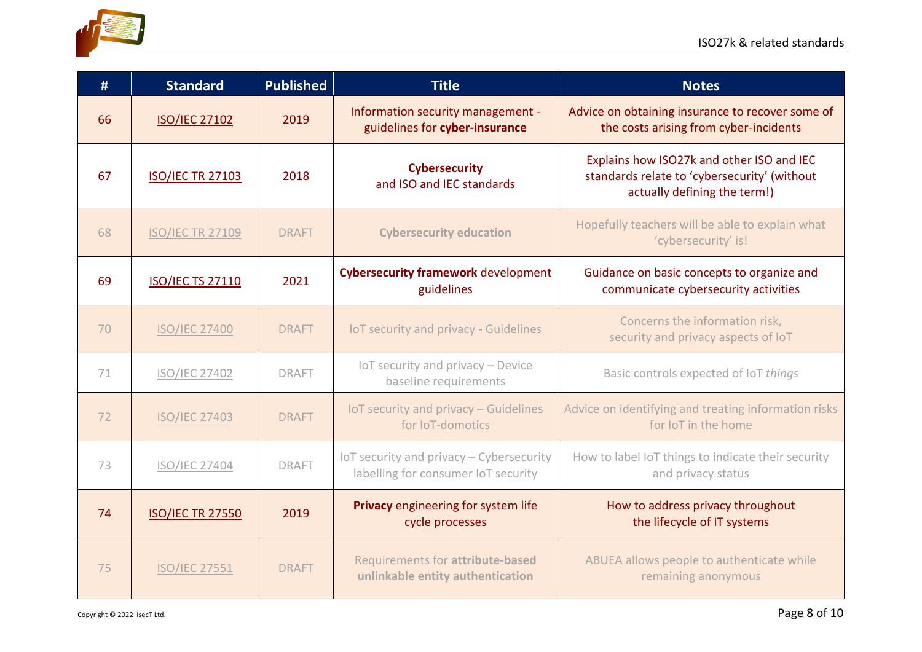

| #  | <b>Standard</b>         | <b>Published</b> | <b>Title</b>                                                                    | <b>Notes</b>                                                                                                              |
|----|-------------------------|------------------|---------------------------------------------------------------------------------|---------------------------------------------------------------------------------------------------------------------------|
| 66 | <b>ISO/IEC 27102</b>    | 2019             | Information security management -<br>guidelines for cyber-insurance             | Advice on obtaining insurance to recover some of<br>the costs arising from cyber-incidents                                |
| 67 | <b>ISO/IEC TR 27103</b> | 2018             | <b>Cybersecurity</b><br>and ISO and IEC standards                               | Explains how ISO27k and other ISO and IEC<br>standards relate to 'cybersecurity' (without<br>actually defining the term!) |
| 68 | <b>ISO/IEC TR 27109</b> | <b>DRAFT</b>     | <b>Cybersecurity education</b>                                                  | Hopefully teachers will be able to explain what<br>'cybersecurity' is!                                                    |
| 69 | <b>ISO/IEC TS 27110</b> | 2021             | <b>Cybersecurity framework development</b><br>guidelines                        | Guidance on basic concepts to organize and<br>communicate cybersecurity activities                                        |
| 70 | <b>ISO/IEC 27400</b>    | <b>DRAFT</b>     | IoT security and privacy - Guidelines                                           | Concerns the information risk,<br>security and privacy aspects of IoT                                                     |
| 71 | <b>ISO/IEC 27402</b>    | <b>DRAFT</b>     | IoT security and privacy - Device<br>baseline requirements                      | Basic controls expected of IoT things                                                                                     |
| 72 | <b>ISO/IEC 27403</b>    | <b>DRAFT</b>     | IoT security and privacy - Guidelines<br>for IoT-domotics                       | Advice on identifying and treating information risks<br>for IoT in the home                                               |
| 73 | <b>ISO/IEC 27404</b>    | <b>DRAFT</b>     | IoT security and privacy - Cybersecurity<br>labelling for consumer IoT security | How to label IoT things to indicate their security<br>and privacy status                                                  |
| 74 | <b>ISO/IEC TR 27550</b> | 2019             | Privacy engineering for system life<br>cycle processes                          | How to address privacy throughout<br>the lifecycle of IT systems                                                          |
| 75 | <b>ISO/IEC 27551</b>    | <b>DRAFT</b>     | Requirements for attribute-based<br>unlinkable entity authentication            | ABUEA allows people to authenticate while<br>remaining anonymous                                                          |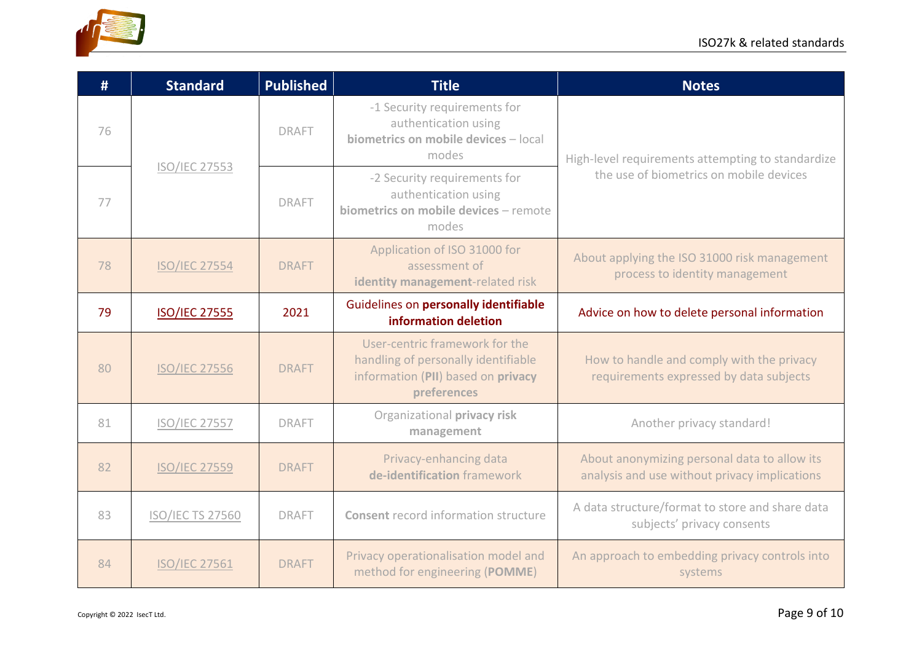

| #  | <b>Standard</b>         | <b>Published</b> | <b>Title</b>                                                                                                               | <b>Notes</b>                                                                                  |
|----|-------------------------|------------------|----------------------------------------------------------------------------------------------------------------------------|-----------------------------------------------------------------------------------------------|
| 76 | <b>ISO/IEC 27553</b>    | <b>DRAFT</b>     | -1 Security requirements for<br>authentication using<br>biometrics on mobile devices - local<br>modes                      | High-level requirements attempting to standardize                                             |
| 77 |                         | <b>DRAFT</b>     | -2 Security requirements for<br>authentication using<br>biometrics on mobile devices - remote<br>modes                     | the use of biometrics on mobile devices                                                       |
| 78 | <b>ISO/IEC 27554</b>    | <b>DRAFT</b>     | Application of ISO 31000 for<br>assessment of<br>identity management-related risk                                          | About applying the ISO 31000 risk management<br>process to identity management                |
| 79 | <b>ISO/IEC 27555</b>    | 2021             | Guidelines on personally identifiable<br>information deletion                                                              | Advice on how to delete personal information                                                  |
| 80 | <b>ISO/IEC 27556</b>    | <b>DRAFT</b>     | User-centric framework for the<br>handling of personally identifiable<br>information (PII) based on privacy<br>preferences | How to handle and comply with the privacy<br>requirements expressed by data subjects          |
| 81 | <b>ISO/IEC 27557</b>    | <b>DRAFT</b>     | Organizational privacy risk<br>management                                                                                  | Another privacy standard!                                                                     |
| 82 | <b>ISO/IEC 27559</b>    | <b>DRAFT</b>     | Privacy-enhancing data<br>de-identification framework                                                                      | About anonymizing personal data to allow its<br>analysis and use without privacy implications |
| 83 | <b>ISO/IEC TS 27560</b> | <b>DRAFT</b>     | <b>Consent record information structure</b>                                                                                | A data structure/format to store and share data<br>subjects' privacy consents                 |
| 84 | <b>ISO/IEC 27561</b>    | <b>DRAFT</b>     | Privacy operationalisation model and<br>method for engineering (POMME)                                                     | An approach to embedding privacy controls into<br>systems                                     |